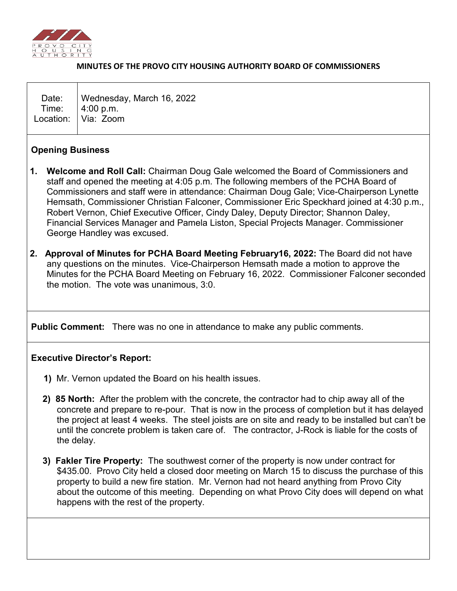

#### **MINUTES OF THE PROVO CITY HOUSING AUTHORITY BOARD OF COMMISSIONERS**

| Date:   Wednesday, March 16, 2022<br>Time: 4:00 p.m.<br>Location: Via: Zoom |
|-----------------------------------------------------------------------------|
|                                                                             |

### **Opening Business**

- **1. Welcome and Roll Call:** Chairman Doug Gale welcomed the Board of Commissioners and staff and opened the meeting at 4:05 p.m. The following members of the PCHA Board of Commissioners and staff were in attendance: Chairman Doug Gale; Vice-Chairperson Lynette Hemsath, Commissioner Christian Falconer, Commissioner Eric Speckhard joined at 4:30 p.m., Robert Vernon, Chief Executive Officer, Cindy Daley, Deputy Director; Shannon Daley, Financial Services Manager and Pamela Liston, Special Projects Manager. Commissioner George Handley was excused.
- **2. Approval of Minutes for PCHA Board Meeting February16, 2022:** The Board did not have any questions on the minutes. Vice-Chairperson Hemsath made a motion to approve the Minutes for the PCHA Board Meeting on February 16, 2022. Commissioner Falconer seconded the motion. The vote was unanimous, 3:0.

**Public Comment:** There was no one in attendance to make any public comments.

### **Executive Director's Report:**

- **1)** Mr. Vernon updated the Board on his health issues.
- **2) 85 North:** After the problem with the concrete, the contractor had to chip away all of the concrete and prepare to re-pour. That is now in the process of completion but it has delayed the project at least 4 weeks. The steel joists are on site and ready to be installed but can't be until the concrete problem is taken care of. The contractor, J-Rock is liable for the costs of the delay.
- **3) Fakler Tire Property:** The southwest corner of the property is now under contract for \$435.00. Provo City held a closed door meeting on March 15 to discuss the purchase of this property to build a new fire station. Mr. Vernon had not heard anything from Provo City about the outcome of this meeting. Depending on what Provo City does will depend on what happens with the rest of the property.